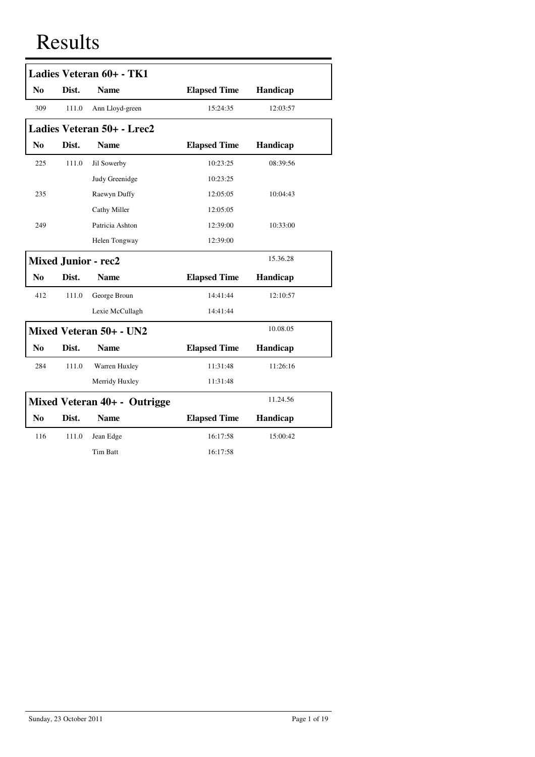|                |       | Ladies Veteran 60+ - TK1       |                     |          |
|----------------|-------|--------------------------------|---------------------|----------|
| N <sub>0</sub> | Dist. | <b>Name</b>                    | <b>Elapsed Time</b> | Handicap |
| 309            | 111.0 | Ann Lloyd-green                | 15:24:35            | 12:03:57 |
|                |       | Ladies Veteran 50+ - Lrec2     |                     |          |
| N <sub>0</sub> | Dist. | <b>Name</b>                    | <b>Elapsed Time</b> | Handicap |
| 225            | 111.0 | Jil Sowerby                    | 10:23:25            | 08:39:56 |
|                |       | Judy Greenidge                 | 10:23:25            |          |
| 235            |       | Raewyn Duffy                   | 12:05:05            | 10:04:43 |
|                |       | Cathy Miller                   | 12:05:05            |          |
| 249            |       | Patricia Ashton                | 12:39:00            | 10:33:00 |
|                |       | Helen Tongway                  | 12:39:00            |          |
|                |       | <b>Mixed Junior - rec2</b>     |                     | 15.36.28 |
| No             | Dist. | <b>Name</b>                    | <b>Elapsed Time</b> | Handicap |
| 412            | 111.0 | George Broun                   | 14:41:44            | 12:10:57 |
|                |       | Lexie McCullagh                | 14:41:44            |          |
|                |       | <b>Mixed Veteran 50+ - UN2</b> |                     | 10.08.05 |
| N <sub>0</sub> | Dist. | <b>Name</b>                    | <b>Elapsed Time</b> | Handicap |
| 284            | 111.0 | Warren Huxley                  | 11:31:48            | 11:26:16 |
|                |       | Merridy Huxley                 | 11:31:48            |          |
|                |       | Mixed Veteran 40+ - Outrigge   |                     | 11.24.56 |
| No             | Dist. | <b>Name</b>                    | <b>Elapsed Time</b> | Handicap |
| 116            | 111.0 | Jean Edge                      | 16:17:58            | 15:00:42 |
|                |       | Tim Batt                       | 16:17:58            |          |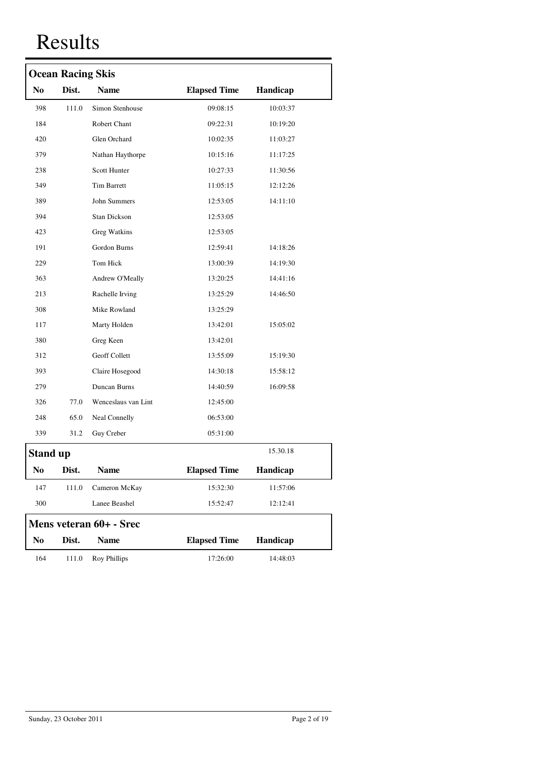| <b>Ocean Racing Skis</b> |       |                         |                     |          |  |
|--------------------------|-------|-------------------------|---------------------|----------|--|
| N <sub>0</sub>           | Dist. | <b>Name</b>             | <b>Elapsed Time</b> | Handicap |  |
| 398                      | 111.0 | Simon Stenhouse         | 09:08:15            | 10:03:37 |  |
| 184                      |       | Robert Chant            | 09:22:31            | 10:19:20 |  |
| 420                      |       | Glen Orchard            | 10:02:35            | 11:03:27 |  |
| 379                      |       | Nathan Haythorpe        | 10:15:16            | 11:17:25 |  |
| 238                      |       | Scott Hunter            | 10:27:33            | 11:30:56 |  |
| 349                      |       | Tim Barrett             | 11:05:15            | 12:12:26 |  |
| 389                      |       | John Summers            | 12:53:05            | 14:11:10 |  |
| 394                      |       | Stan Dickson            | 12:53:05            |          |  |
| 423                      |       | Greg Watkins            | 12:53:05            |          |  |
| 191                      |       | Gordon Burns            | 12:59:41            | 14:18:26 |  |
| 229                      |       | Tom Hick                | 13:00:39            | 14:19:30 |  |
| 363                      |       | Andrew O'Meally         | 13:20:25            | 14:41:16 |  |
| 213                      |       | Rachelle Irving         | 13:25:29            | 14:46:50 |  |
| 308                      |       | Mike Rowland            | 13:25:29            |          |  |
| 117                      |       | Marty Holden            | 13:42:01            | 15:05:02 |  |
| 380                      |       | Greg Keen               | 13:42:01            |          |  |
| 312                      |       | Geoff Collett           | 13:55:09            | 15:19:30 |  |
| 393                      |       | Claire Hosegood         | 14:30:18            | 15:58:12 |  |
| 279                      |       | Duncan Burns            | 14:40:59            | 16:09:58 |  |
| 326                      | 77.0  | Wenceslaus van Lint     | 12:45:00            |          |  |
| 248                      | 65.0  | Neal Connelly           | 06:53:00            |          |  |
| 339                      | 31.2  | Guy Creber              | 05:31:00            |          |  |
| <b>Stand up</b>          |       |                         |                     | 15.30.18 |  |
| No                       | Dist. | <b>Name</b>             | <b>Elapsed Time</b> | Handicap |  |
| 147                      | 111.0 | Cameron McKay           | 15:32:30            | 11:57:06 |  |
| 300                      |       | Lanee Beashel           | 15:52:47            | 12:12:41 |  |
|                          |       | Mens veteran 60+ - Srec |                     |          |  |
| N <sub>0</sub>           | Dist. | <b>Name</b>             | <b>Elapsed Time</b> | Handicap |  |
| 164                      | 111.0 | Roy Phillips            | 17:26:00            | 14:48:03 |  |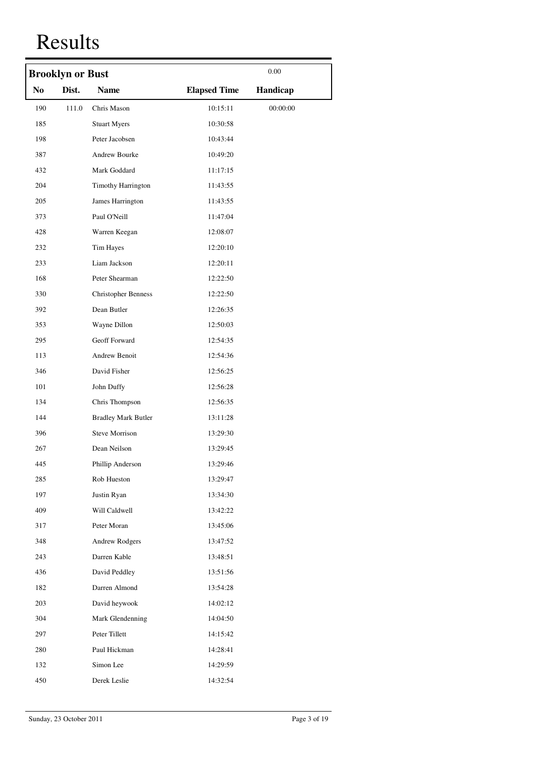|                | <b>Brooklyn or Bust</b> |                            |                     | 0.00     |
|----------------|-------------------------|----------------------------|---------------------|----------|
| N <sub>0</sub> | Dist.                   | <b>Name</b>                | <b>Elapsed Time</b> | Handicap |
| 190            | 111.0                   | Chris Mason                | 10:15:11            | 00:00:00 |
| 185            |                         | <b>Stuart Myers</b>        | 10:30:58            |          |
| 198            |                         | Peter Jacobsen             | 10:43:44            |          |
| 387            |                         | Andrew Bourke              | 10:49:20            |          |
| 432            |                         | Mark Goddard               | 11:17:15            |          |
| 204            |                         | <b>Timothy Harrington</b>  | 11:43:55            |          |
| 205            |                         | James Harrington           | 11:43:55            |          |
| 373            |                         | Paul O'Neill               | 11:47:04            |          |
| 428            |                         | Warren Keegan              | 12:08:07            |          |
| 232            |                         | Tim Hayes                  | 12:20:10            |          |
| 233            |                         | Liam Jackson               | 12:20:11            |          |
| 168            |                         | Peter Shearman             | 12:22:50            |          |
| 330            |                         | <b>Christopher Benness</b> | 12:22:50            |          |
| 392            |                         | Dean Butler                | 12:26:35            |          |
| 353            |                         | Wayne Dillon               | 12:50:03            |          |
| 295            |                         | Geoff Forward              | 12:54:35            |          |
| 113            |                         | Andrew Benoit              | 12:54:36            |          |
| 346            |                         | David Fisher               | 12:56:25            |          |
| 101            |                         | John Duffy                 | 12:56:28            |          |
| 134            |                         | Chris Thompson             | 12:56:35            |          |
| 144            |                         | <b>Bradley Mark Butler</b> | 13:11:28            |          |
| 396            |                         | <b>Steve Morrison</b>      | 13:29:30            |          |
| 267            |                         | Dean Neilson               | 13:29:45            |          |
| 445            |                         | Phillip Anderson           | 13:29:46            |          |
| 285            |                         | Rob Hueston                | 13:29:47            |          |
| 197            |                         | Justin Ryan                | 13:34:30            |          |
| 409            |                         | Will Caldwell              | 13:42:22            |          |
| 317            |                         | Peter Moran                | 13:45:06            |          |
| 348            |                         | Andrew Rodgers             | 13:47:52            |          |
| 243            |                         | Darren Kable               | 13:48:51            |          |
| 436            |                         | David Peddley              | 13:51:56            |          |
| 182            |                         | Darren Almond              | 13:54:28            |          |
| 203            |                         | David heywook              | 14:02:12            |          |
| 304            |                         | Mark Glendenning           | 14:04:50            |          |
| 297            |                         | Peter Tillett              | 14:15:42            |          |
| 280            |                         | Paul Hickman               | 14:28:41            |          |
| 132            |                         | Simon Lee                  | 14:29:59            |          |
| 450            |                         | Derek Leslie               | 14:32:54            |          |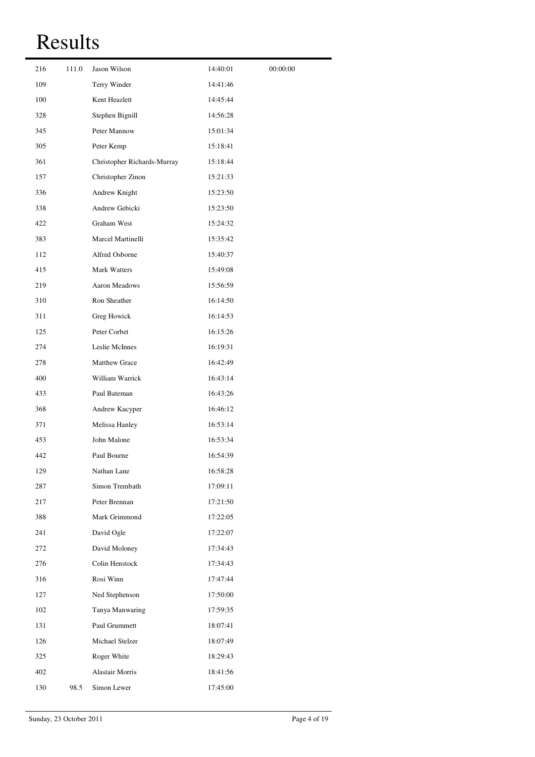| 216 | 111.0 | Jason Wilson                | 14:40:01 | 00:00:00 |
|-----|-------|-----------------------------|----------|----------|
| 109 |       | Terry Winder                | 14:41:46 |          |
| 100 |       | Kent Heazlett               | 14:45:44 |          |
| 328 |       | Stephen Bignill             | 14:56:28 |          |
| 345 |       | Peter Mannow                | 15:01:34 |          |
| 305 |       | Peter Kemp                  | 15:18:41 |          |
| 361 |       | Christopher Richards-Murray | 15:18:44 |          |
| 157 |       | Christopher Zinon           | 15:21:33 |          |
| 336 |       | Andrew Knight               | 15:23:50 |          |
| 338 |       | Andrew Gebicki              | 15:23:50 |          |
| 422 |       | Graham West                 | 15:24:32 |          |
| 383 |       | Marcel Martinelli           | 15:35:42 |          |
| 112 |       | Alfred Osborne              | 15:40:37 |          |
| 415 |       | <b>Mark Watters</b>         | 15:49:08 |          |
| 219 |       | Aaron Meadows               | 15:56:59 |          |
| 310 |       | Ron Sheather                | 16:14:50 |          |
| 311 |       | Greg Howick                 | 16:14:53 |          |
| 125 |       | Peter Corbet                | 16:15:26 |          |
| 274 |       | Leslie McInnes              | 16:19:31 |          |
| 278 |       | <b>Matthew Grace</b>        | 16:42:49 |          |
| 400 |       | William Warrick             | 16:43:14 |          |
| 433 |       | Paul Bateman                | 16:43:26 |          |
| 368 |       | Andrew Kucyper              | 16:46:12 |          |
| 371 |       | Melissa Hanley              | 16:53:14 |          |
| 453 |       | John Malone                 | 16:53:34 |          |
| 442 |       | Paul Bourne                 | 16:54:39 |          |
| 129 |       | Nathan Lane                 | 16:58:28 |          |
| 287 |       | Simon Trembath              | 17:09:11 |          |
| 217 |       | Peter Brennan               | 17:21:50 |          |
| 388 |       | Mark Grimmond               | 17:22:05 |          |
| 241 |       | David Ogle                  | 17:22:07 |          |
| 272 |       | David Moloney               | 17:34:43 |          |
| 276 |       | Colin Henstock              | 17:34:43 |          |
| 316 |       | Rosi Winn                   | 17:47:44 |          |
| 127 |       | Ned Stephenson              | 17:50:00 |          |
| 102 |       | Tanya Manwaring             | 17:59:35 |          |
| 131 |       | Paul Grummett               | 18:07:41 |          |
| 126 |       | Michael Stelzer             | 18:07:49 |          |
| 325 |       | Roger White                 | 18:29:43 |          |
| 402 |       | Alastair Morris             | 18:41:56 |          |
| 130 | 98.5  | Simon Lewer                 | 17:45:00 |          |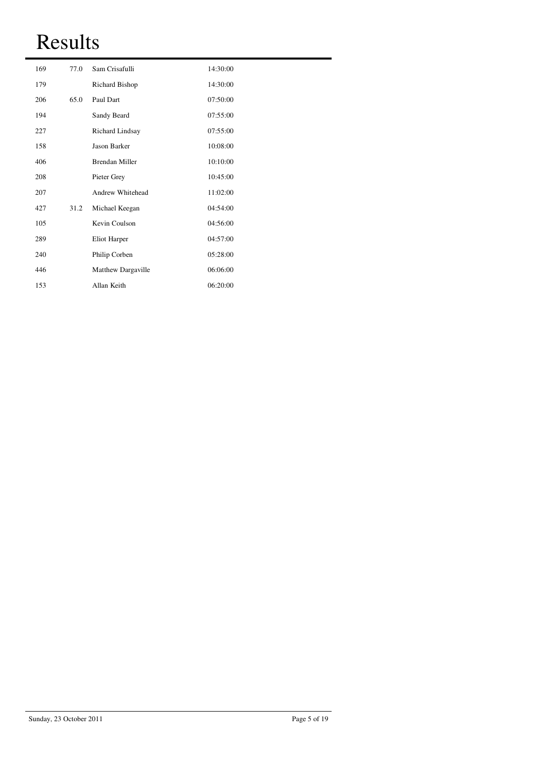| 169 | 77.0 | Sam Crisafulli        | 14:30:00 |
|-----|------|-----------------------|----------|
| 179 |      | Richard Bishop        | 14:30:00 |
| 206 | 65.0 | Paul Dart             | 07:50:00 |
| 194 |      | Sandy Beard           | 07:55:00 |
| 227 |      | Richard Lindsay       | 07:55:00 |
| 158 |      | Jason Barker          | 10:08:00 |
| 406 |      | <b>Brendan Miller</b> | 10:10:00 |
| 208 |      | Pieter Grey           | 10:45:00 |
| 207 |      | Andrew Whitehead      | 11:02:00 |
| 427 | 31.2 | Michael Keegan        | 04:54:00 |
| 105 |      | Kevin Coulson         | 04:56:00 |
| 289 |      | Eliot Harper          | 04:57:00 |
| 240 |      | Philip Corben         | 05:28:00 |
| 446 |      | Matthew Dargaville    | 06:06:00 |
| 153 |      | Allan Keith           | 06:20:00 |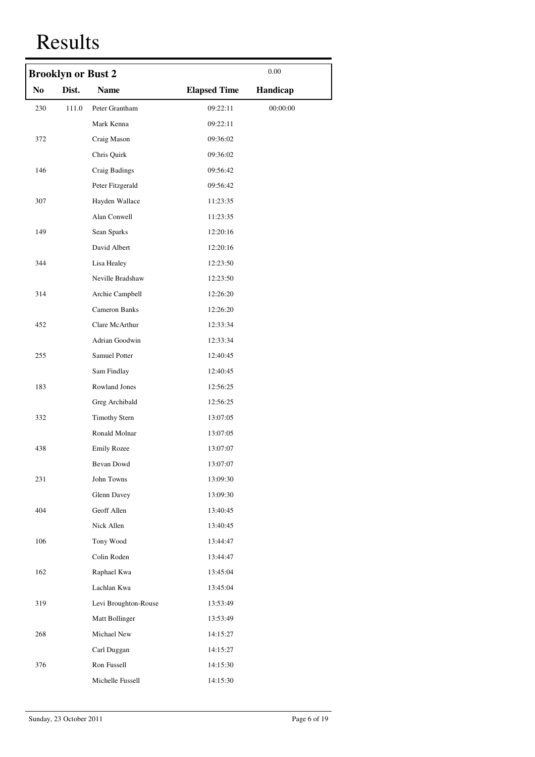|                | <b>Brooklyn or Bust 2</b> |                      |                     | 0.00     |
|----------------|---------------------------|----------------------|---------------------|----------|
| N <sub>0</sub> | Dist.                     | <b>Name</b>          | <b>Elapsed Time</b> | Handicap |
| 230            | 111.0                     | Peter Grantham       | 09:22:11            | 00:00:00 |
|                |                           | Mark Kenna           | 09:22:11            |          |
| 372            |                           | Craig Mason          | 09:36:02            |          |
|                |                           | Chris Quirk          | 09:36:02            |          |
| 146            |                           | Craig Badings        | 09:56:42            |          |
|                |                           | Peter Fitzgerald     | 09:56:42            |          |
| 307            |                           | Hayden Wallace       | 11:23:35            |          |
|                |                           | Alan Conwell         | 11:23:35            |          |
| 149            |                           | Sean Sparks          | 12:20:16            |          |
|                |                           | David Albert         | 12:20:16            |          |
| 344            |                           | Lisa Healey          | 12:23:50            |          |
|                |                           | Neville Bradshaw     | 12:23:50            |          |
| 314            |                           | Archie Campbell      | 12:26:20            |          |
|                |                           | Cameron Banks        | 12:26:20            |          |
| 452            |                           | Clare McArthur       | 12:33:34            |          |
|                |                           | Adrian Goodwin       | 12:33:34            |          |
| 255            |                           | Samuel Potter        | 12:40:45            |          |
|                |                           | Sam Findlay          | 12:40:45            |          |
| 183            |                           | Rowland Jones        | 12:56:25            |          |
|                |                           | Greg Archibald       | 12:56:25            |          |
| 332            |                           | <b>Timothy Stern</b> | 13:07:05            |          |
|                |                           | Ronald Molnar        | 13:07:05            |          |
| 438            |                           | <b>Emily Rozee</b>   | 13:07:07            |          |
|                |                           | Bevan Dowd           | 13:07:07            |          |
| 231            |                           | John Towns           | 13:09:30            |          |
|                |                           | Glenn Davey          | 13:09:30            |          |
| 404            |                           | Geoff Allen          | 13:40:45            |          |
|                |                           | Nick Allen           | 13:40:45            |          |
| 106            |                           | Tony Wood            | 13:44:47            |          |
|                |                           | Colin Roden          | 13:44:47            |          |
| 162            |                           | Raphael Kwa          | 13:45:04            |          |
|                |                           | Lachlan Kwa          | 13:45:04            |          |
| 319            |                           | Levi Broughton-Rouse | 13:53:49            |          |
|                |                           | Matt Bollinger       | 13:53:49            |          |
| 268            |                           | Michael New          | 14:15:27            |          |
|                |                           | Carl Duggan          | 14:15:27            |          |
| 376            |                           | Ron Fussell          | 14:15:30            |          |
|                |                           | Michelle Fussell     | 14:15:30            |          |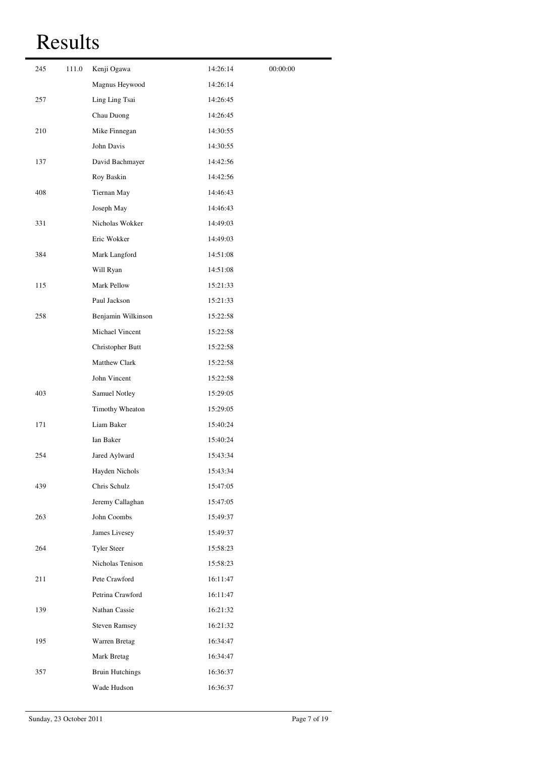| 245 | 111.0 | Kenji Ogawa            | 14:26:14 | 00:00:00 |
|-----|-------|------------------------|----------|----------|
|     |       | Magnus Heywood         | 14:26:14 |          |
| 257 |       | Ling Ling Tsai         | 14:26:45 |          |
|     |       | Chau Duong             | 14:26:45 |          |
| 210 |       | Mike Finnegan          | 14:30:55 |          |
|     |       | John Davis             | 14:30:55 |          |
| 137 |       | David Bachmayer        | 14:42:56 |          |
|     |       | Roy Baskin             | 14:42:56 |          |
| 408 |       | Tiernan May            | 14:46:43 |          |
|     |       | Joseph May             | 14:46:43 |          |
| 331 |       | Nicholas Wokker        | 14:49:03 |          |
|     |       | Eric Wokker            | 14:49:03 |          |
| 384 |       | Mark Langford          | 14:51:08 |          |
|     |       | Will Ryan              | 14:51:08 |          |
| 115 |       | Mark Pellow            | 15:21:33 |          |
|     |       | Paul Jackson           | 15:21:33 |          |
| 258 |       | Benjamin Wilkinson     | 15:22:58 |          |
|     |       | Michael Vincent        | 15:22:58 |          |
|     |       | Christopher Butt       | 15:22:58 |          |
|     |       | Matthew Clark          | 15:22:58 |          |
|     |       | John Vincent           | 15:22:58 |          |
| 403 |       | Samuel Notley          | 15:29:05 |          |
|     |       | Timothy Wheaton        | 15:29:05 |          |
| 171 |       | Liam Baker             | 15:40:24 |          |
|     |       | Ian Baker              | 15:40:24 |          |
| 254 |       | Jared Aylward          | 15:43:34 |          |
|     |       | Hayden Nichols         | 15:43:34 |          |
| 439 |       | Chris Schulz           | 15:47:05 |          |
|     |       | Jeremy Callaghan       | 15:47:05 |          |
| 263 |       | John Coombs            | 15:49:37 |          |
|     |       | James Livesey          | 15:49:37 |          |
| 264 |       | <b>Tyler Steer</b>     | 15:58:23 |          |
|     |       | Nicholas Tenison       | 15:58:23 |          |
| 211 |       | Pete Crawford          | 16:11:47 |          |
|     |       | Petrina Crawford       | 16:11:47 |          |
| 139 |       | Nathan Cassie          | 16:21:32 |          |
|     |       | <b>Steven Ramsey</b>   | 16:21:32 |          |
| 195 |       | Warren Bretag          | 16:34:47 |          |
|     |       | Mark Bretag            | 16:34:47 |          |
| 357 |       | <b>Bruin Hutchings</b> | 16:36:37 |          |
|     |       | Wade Hudson            | 16:36:37 |          |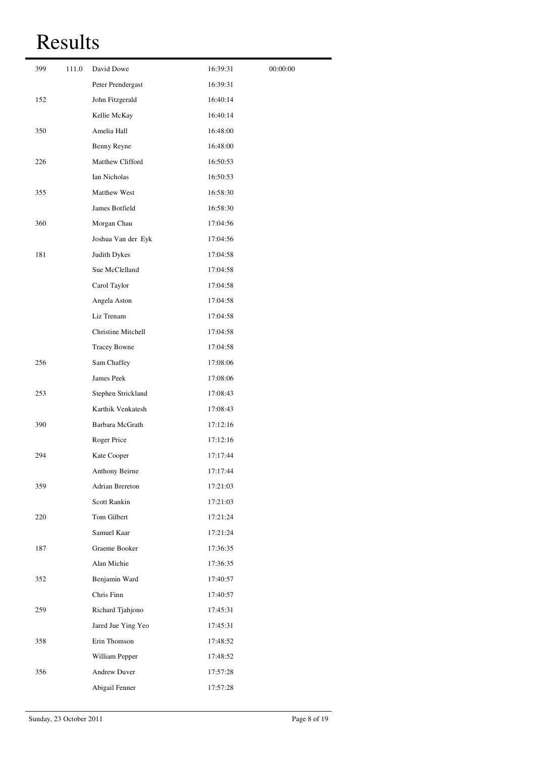| 399 | 111.0 | David Dowe             | 16:39:31 | 00:00:00 |
|-----|-------|------------------------|----------|----------|
|     |       | Peter Prendergast      | 16:39:31 |          |
| 152 |       | John Fitzgerald        | 16:40:14 |          |
|     |       | Kellie McKay           | 16:40:14 |          |
| 350 |       | Amelia Hall            | 16:48:00 |          |
|     |       | Benny Reyne            | 16:48:00 |          |
| 226 |       | Matthew Clifford       | 16:50:53 |          |
|     |       | Ian Nicholas           | 16:50:53 |          |
| 355 |       | Matthew West           | 16:58:30 |          |
|     |       | James Botfield         | 16:58:30 |          |
| 360 |       | Morgan Chau            | 17:04:56 |          |
|     |       | Joshua Van der Eyk     | 17:04:56 |          |
| 181 |       | Judith Dykes           | 17:04:58 |          |
|     |       | Sue McClelland         | 17:04:58 |          |
|     |       | Carol Taylor           | 17:04:58 |          |
|     |       | Angela Aston           | 17:04:58 |          |
|     |       | Liz Trenam             | 17:04:58 |          |
|     |       | Christine Mitchell     | 17:04:58 |          |
|     |       | <b>Tracey Bowne</b>    | 17:04:58 |          |
| 256 |       | Sam Chaffey            | 17:08:06 |          |
|     |       | James Peek             | 17:08:06 |          |
| 253 |       | Stephen Strickland     | 17:08:43 |          |
|     |       | Karthik Venkatesh      | 17:08:43 |          |
| 390 |       | Barbara McGrath        | 17:12:16 |          |
|     |       | Roger Price            | 17:12:16 |          |
| 294 |       | Kate Cooper            | 17:17:44 |          |
|     |       | Anthony Beirne         | 17:17:44 |          |
| 359 |       | <b>Adrian Brereton</b> | 17:21:03 |          |
|     |       | Scott Rankin           | 17:21:03 |          |
| 220 |       | Tom Gilbert            | 17:21:24 |          |
|     |       | Samuel Kaar            | 17:21:24 |          |
| 187 |       | Graeme Booker          | 17:36:35 |          |
|     |       | Alan Michie            | 17:36:35 |          |
| 352 |       | Benjamin Ward          | 17:40:57 |          |
|     |       | Chris Finn             | 17:40:57 |          |
| 259 |       | Richard Tjahjono       | 17:45:31 |          |
|     |       | Jared Jue Ying Yeo     | 17:45:31 |          |
| 358 |       | Erin Thomson           | 17:48:52 |          |
|     |       | William Pepper         | 17:48:52 |          |
| 356 |       | <b>Andrew Duver</b>    | 17:57:28 |          |
|     |       | Abigail Fenner         | 17:57:28 |          |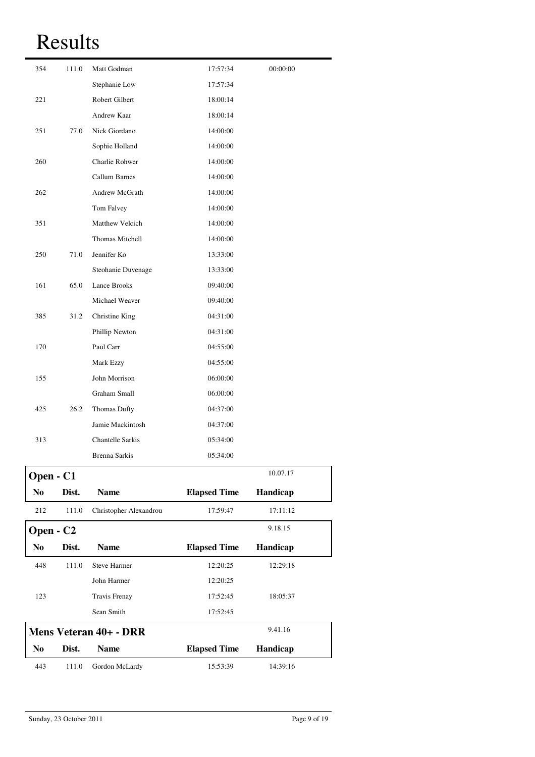| 354                   | 111.0 | Matt Godman             | 17:57:34            | 00:00:00 |  |
|-----------------------|-------|-------------------------|---------------------|----------|--|
|                       |       | Stephanie Low           | 17:57:34            |          |  |
| 221                   |       | Robert Gilbert          | 18:00:14            |          |  |
|                       |       | Andrew Kaar             | 18:00:14            |          |  |
| 251                   | 77.0  | Nick Giordano           | 14:00:00            |          |  |
|                       |       | Sophie Holland          | 14:00:00            |          |  |
| 260                   |       | Charlie Rohwer          | 14:00:00            |          |  |
|                       |       | Callum Barnes           | 14:00:00            |          |  |
| 262                   |       | Andrew McGrath          | 14:00:00            |          |  |
|                       |       | Tom Falvey              | 14:00:00            |          |  |
| 351                   |       | Matthew Velcich         | 14:00:00            |          |  |
|                       |       | Thomas Mitchell         | 14:00:00            |          |  |
| 250                   | 71.0  | Jennifer Ko             | 13:33:00            |          |  |
|                       |       | Steohanie Duvenage      | 13:33:00            |          |  |
| 161                   | 65.0  | Lance Brooks            | 09:40:00            |          |  |
|                       |       | Michael Weaver          | 09:40:00            |          |  |
| 385                   | 31.2  | Christine King          | 04:31:00            |          |  |
|                       |       | Phillip Newton          | 04:31:00            |          |  |
| 170                   |       | Paul Carr               | 04:55:00            |          |  |
|                       |       | Mark Ezzy               | 04:55:00            |          |  |
| 155                   |       | John Morrison           | 06:00:00            |          |  |
|                       |       | Graham Small            | 06:00:00            |          |  |
| 425                   | 26.2  | Thomas Dufty            | 04:37:00            |          |  |
|                       |       | Jamie Mackintosh        | 04:37:00            |          |  |
| 313                   |       | <b>Chantelle Sarkis</b> | 05:34:00            |          |  |
|                       |       | Brenna Sarkis           | 05:34:00            |          |  |
| Open - C1             |       |                         |                     | 10.07.17 |  |
| N <sub>0</sub>        | Dist. | <b>Name</b>             | <b>Elapsed Time</b> | Handicap |  |
| 212                   | 111.0 | Christopher Alexandrou  | 17:59:47            | 17:11:12 |  |
| Open - C <sub>2</sub> |       |                         |                     | 9.18.15  |  |
| N <sub>0</sub>        | Dist. | <b>Name</b>             | <b>Elapsed Time</b> | Handicap |  |
| 448                   | 111.0 | <b>Steve Harmer</b>     | 12:20:25            | 12:29:18 |  |
|                       |       | John Harmer             | 12:20:25            |          |  |
| 123                   |       | Travis Frenay           | 17:52:45            | 18:05:37 |  |
|                       |       | Sean Smith              | 17:52:45            |          |  |
|                       |       | Mens Veteran 40+ - DRR  |                     | 9.41.16  |  |
| N <sub>0</sub>        | Dist. | <b>Name</b>             | <b>Elapsed Time</b> | Handicap |  |
| 443                   | 111.0 | Gordon McLardy          | 15:53:39            | 14:39:16 |  |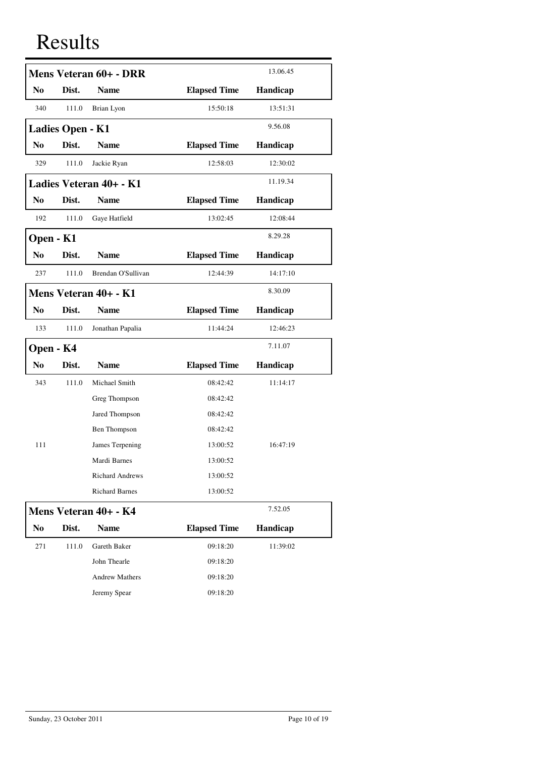| 13.06.45<br>Mens Veteran 60+ - DRR |                         |                         |                     |          |  |
|------------------------------------|-------------------------|-------------------------|---------------------|----------|--|
| N <sub>0</sub>                     | Dist.                   | <b>Name</b>             | <b>Elapsed Time</b> | Handicap |  |
| 340                                | 111.0                   | Brian Lyon              | 15:50:18            | 13:51:31 |  |
|                                    | <b>Ladies Open - K1</b> |                         |                     | 9.56.08  |  |
| N <sub>0</sub>                     | Dist.                   | <b>Name</b>             | <b>Elapsed Time</b> | Handicap |  |
| 329                                | 111.0                   | Jackie Ryan             | 12:58:03            | 12:30:02 |  |
|                                    |                         | Ladies Veteran 40+ - K1 |                     | 11.19.34 |  |
| No                                 | Dist.                   | <b>Name</b>             | <b>Elapsed Time</b> | Handicap |  |
| 192                                | 111.0                   | Gaye Hatfield           | 13:02:45            | 12:08:44 |  |
| Open - K1                          |                         |                         |                     | 8.29.28  |  |
| N <sub>0</sub>                     | Dist.                   | <b>Name</b>             | <b>Elapsed Time</b> | Handicap |  |
| 237                                | 111.0                   | Brendan O'Sullivan      | 12:44:39            | 14:17:10 |  |
| Mens Veteran 40+ - K1              |                         |                         | 8.30.09             |          |  |
| N <sub>0</sub>                     | Dist.                   | <b>Name</b>             | <b>Elapsed Time</b> | Handicap |  |
| 133                                | 111.0                   | Jonathan Papalia        | 11:44:24            | 12:46:23 |  |
| Open - K4                          |                         |                         |                     | 7.11.07  |  |
| N <sub>0</sub>                     | Dist.                   | <b>Name</b>             | <b>Elapsed Time</b> | Handicap |  |
| 343                                | 111.0                   | Michael Smith           | 08:42:42            | 11:14:17 |  |
|                                    |                         | Greg Thompson           | 08:42:42            |          |  |
|                                    |                         | Jared Thompson          | 08:42:42            |          |  |
|                                    |                         | Ben Thompson            | 08:42:42            |          |  |
| 111                                |                         | James Terpening         | 13:00:52            | 16:47:19 |  |
|                                    |                         | Mardi Barnes            | 13:00:52            |          |  |
|                                    |                         | <b>Richard Andrews</b>  | 13:00:52            |          |  |
|                                    |                         | <b>Richard Barnes</b>   | 13:00:52            |          |  |
|                                    |                         | Mens Veteran 40+ - K4   |                     | 7.52.05  |  |
| N <sub>0</sub>                     | Dist.                   | <b>Name</b>             | <b>Elapsed Time</b> | Handicap |  |
| 271                                | 111.0                   | Gareth Baker            | 09:18:20            | 11:39:02 |  |
|                                    |                         | John Thearle            | 09:18:20            |          |  |
|                                    |                         | <b>Andrew Mathers</b>   | 09:18:20            |          |  |
|                                    |                         | Jeremy Spear            | 09:18:20            |          |  |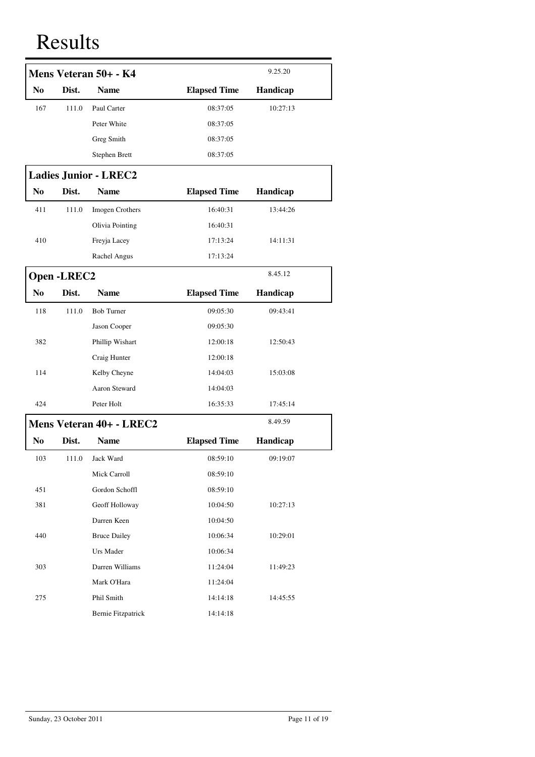|                |                    | Mens Veteran 50+ - K4        |                     | 9.25.20  |
|----------------|--------------------|------------------------------|---------------------|----------|
| No             | Dist.              | <b>Name</b>                  | <b>Elapsed Time</b> | Handicap |
| 167            | 111.0              | Paul Carter                  | 08:37:05            | 10:27:13 |
|                |                    | Peter White                  | 08:37:05            |          |
|                |                    | Greg Smith                   | 08:37:05            |          |
|                |                    | Stephen Brett                | 08:37:05            |          |
|                |                    | <b>Ladies Junior - LREC2</b> |                     |          |
| No             | Dist.              | <b>Name</b>                  | <b>Elapsed Time</b> | Handicap |
| 411            | 111.0              | Imogen Crothers              | 16:40:31            | 13:44:26 |
|                |                    | Olivia Pointing              | 16:40:31            |          |
| 410            |                    | Freyja Lacey                 | 17:13:24            | 14:11:31 |
|                |                    | Rachel Angus                 | 17:13:24            |          |
|                | <b>Open -LREC2</b> |                              |                     | 8.45.12  |
| N <sub>0</sub> | Dist.              | <b>Name</b>                  | <b>Elapsed Time</b> | Handicap |
| 118            | 111.0              | <b>Bob Turner</b>            | 09:05:30            | 09:43:41 |
|                |                    | Jason Cooper                 | 09:05:30            |          |
| 382            |                    | Phillip Wishart              | 12:00:18            | 12:50:43 |
|                |                    | Craig Hunter                 | 12:00:18            |          |
| 114            |                    | Kelby Cheyne                 | 14:04:03            | 15:03:08 |
|                |                    | Aaron Steward                | 14:04:03            |          |
| 424            |                    | Peter Holt                   | 16:35:33            | 17:45:14 |
|                |                    | Mens Veteran 40+ - LREC2     |                     | 8.49.59  |
| N <sub>0</sub> | Dist.              | <b>Name</b>                  | <b>Elapsed Time</b> | Handicap |
| 103            |                    | 111.0 Jack Ward              | 08:59:10            | 09:19:07 |
|                |                    | Mick Carroll                 | 08:59:10            |          |
| 451            |                    | Gordon Schoffl               | 08:59:10            |          |
| 381            |                    | Geoff Holloway               | 10:04:50            | 10:27:13 |
|                |                    | Darren Keen                  | 10:04:50            |          |
| 440            |                    | <b>Bruce Dailey</b>          | 10:06:34            | 10:29:01 |
|                |                    | Urs Mader                    | 10:06:34            |          |
| 303            |                    | Darren Williams              | 11:24:04            | 11:49:23 |
|                |                    | Mark O'Hara                  | 11:24:04            |          |
| 275            |                    | Phil Smith                   | 14:14:18            | 14:45:55 |
|                |                    | Bernie Fitzpatrick           | 14:14:18            |          |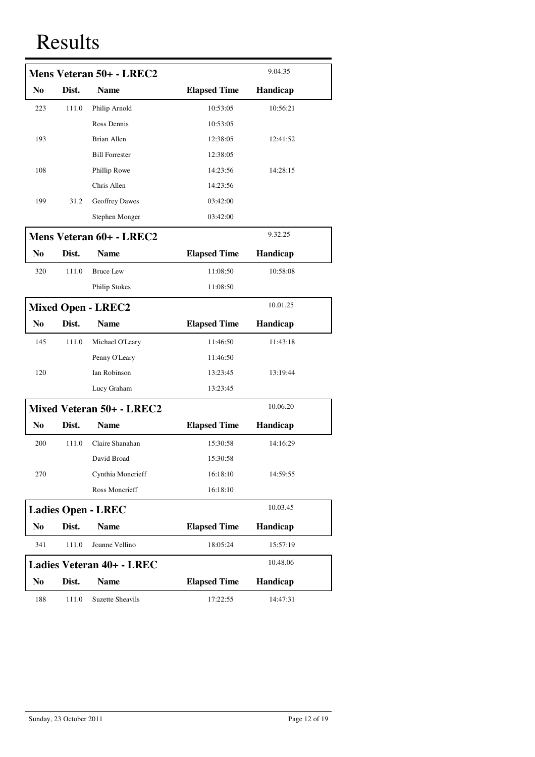|                                     |       | Mens Veteran 50+ - LREC2         |                     | 9.04.35  |
|-------------------------------------|-------|----------------------------------|---------------------|----------|
| N <sub>0</sub>                      | Dist. | <b>Name</b>                      | <b>Elapsed Time</b> | Handicap |
| 223                                 | 111.0 | Philip Arnold                    | 10:53:05            | 10:56:21 |
|                                     |       | Ross Dennis                      | 10:53:05            |          |
| 193                                 |       | <b>Brian Allen</b>               | 12:38:05            | 12:41:52 |
|                                     |       | <b>Bill Forrester</b>            | 12:38:05            |          |
| 108                                 |       | Phillip Rowe                     | 14:23:56            | 14:28:15 |
|                                     |       | Chris Allen                      | 14:23:56            |          |
| 199                                 | 31.2  | Geoffrey Dawes                   | 03:42:00            |          |
|                                     |       | Stephen Monger                   | 03:42:00            |          |
| 9.32.25<br>Mens Veteran 60+ - LREC2 |       |                                  |                     |          |
| N <sub>0</sub>                      | Dist. | <b>Name</b>                      | <b>Elapsed Time</b> | Handicap |
| 320                                 | 111.0 | <b>Bruce Lew</b>                 | 11:08:50            | 10:58:08 |
|                                     |       | <b>Philip Stokes</b>             | 11:08:50            |          |
|                                     |       | <b>Mixed Open - LREC2</b>        |                     | 10.01.25 |
| N <sub>0</sub>                      | Dist. | <b>Name</b>                      | <b>Elapsed Time</b> | Handicap |
| 145                                 | 111.0 | Michael O'Leary                  | 11:46:50            | 11:43:18 |
|                                     |       | Penny O'Leary                    | 11:46:50            |          |
| 120                                 |       | Ian Robinson                     | 13:23:45            | 13:19:44 |
|                                     |       | Lucy Graham                      | 13:23:45            |          |
|                                     |       | <b>Mixed Veteran 50+ - LREC2</b> |                     | 10.06.20 |
| N <sub>0</sub>                      | Dist. | <b>Name</b>                      | <b>Elapsed Time</b> | Handicap |
| 200                                 | 111.0 | Claire Shanahan                  | 15:30:58            | 14:16:29 |
|                                     |       | David Broad                      | 15:30:58            |          |
| 270                                 |       | Cynthia Moncrieff                | 16:18:10            | 14:59:55 |
|                                     |       | Ross Moncrieff                   | 16:18:10            |          |
|                                     |       | <b>Ladies Open - LREC</b>        |                     | 10.03.45 |
| N <sub>0</sub>                      | Dist. | <b>Name</b>                      | <b>Elapsed Time</b> | Handicap |
| 341                                 | 111.0 | Joanne Vellino                   | 18:05:24            | 15:57:19 |
|                                     |       | Ladies Veteran 40+ - LREC        |                     | 10.48.06 |
| N <sub>0</sub>                      | Dist. | <b>Name</b>                      | <b>Elapsed Time</b> | Handicap |
| 188                                 | 111.0 | <b>Suzette Sheavils</b>          | 17:22:55            | 14:47:31 |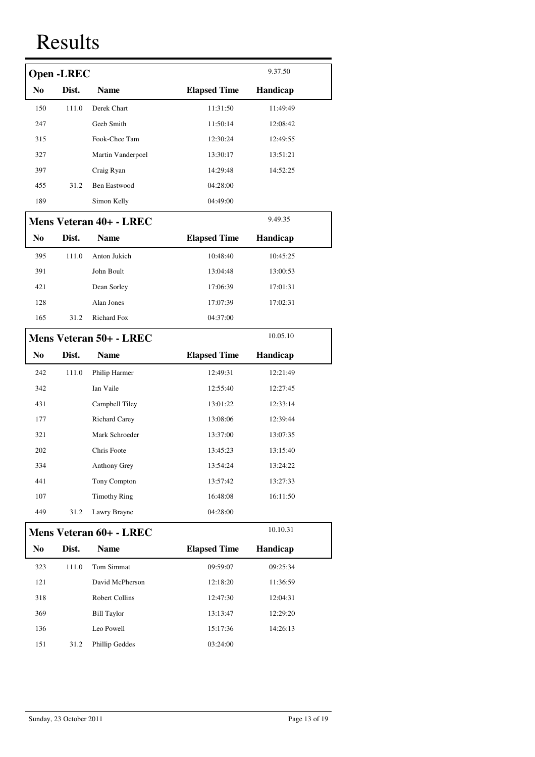|                | <b>Open-LREC</b> |                         |                     | 9.37.50  |
|----------------|------------------|-------------------------|---------------------|----------|
| N <sub>0</sub> | Dist.            | <b>Name</b>             | <b>Elapsed Time</b> | Handicap |
| 150            | 111.0            | Derek Chart             | 11:31:50            | 11:49:49 |
| 247            |                  | Geeb Smith              | 11:50:14            | 12:08:42 |
| 315            |                  | Fook-Chee Tam           | 12:30:24            | 12:49:55 |
| 327            |                  | Martin Vanderpoel       | 13:30:17            | 13:51:21 |
| 397            |                  | Craig Ryan              | 14:29:48            | 14:52:25 |
| 455            | 31.2             | <b>Ben Eastwood</b>     | 04:28:00            |          |
| 189            |                  | Simon Kelly             | 04:49:00            |          |
|                |                  | Mens Veteran 40+ - LREC |                     | 9.49.35  |
| N <sub>0</sub> | Dist.            | <b>Name</b>             | <b>Elapsed Time</b> | Handicap |
| 395            | 111.0            | Anton Jukich            | 10:48:40            | 10:45:25 |
| 391            |                  | John Boult              | 13:04:48            | 13:00:53 |
| 421            |                  | Dean Sorley             | 17:06:39            | 17:01:31 |
| 128            |                  | Alan Jones              | 17:07:39            | 17:02:31 |
| 165            | 31.2             | <b>Richard Fox</b>      | 04:37:00            |          |
|                |                  | Mens Veteran 50+ - LREC |                     | 10.05.10 |
| N <sub>0</sub> | Dist.            | <b>Name</b>             | <b>Elapsed Time</b> | Handicap |
| 242            | 111.0            | Philip Harmer           | 12:49:31            | 12:21:49 |
| 342            |                  | Ian Vaile               | 12:55:40            | 12:27:45 |
| 431            |                  | Campbell Tiley          | 13:01:22            | 12:33:14 |
| 177            |                  | <b>Richard Carey</b>    | 13:08:06            | 12:39:44 |
| 321            |                  | Mark Schroeder          | 13:37:00            | 13:07:35 |
| 202            |                  | Chris Foote             | 13:45:23            | 13:15:40 |
| 334            |                  | Anthony Grey            | 13:54:24            | 13:24:22 |
| 441            |                  | Tony Compton            | 13:57:42            | 13:27:33 |
| 107            |                  | <b>Timothy Ring</b>     | 16:48:08            | 16:11:50 |
| 449            | 31.2             | Lawry Brayne            | 04:28:00            |          |
|                |                  | Mens Veteran 60+ - LREC |                     | 10.10.31 |
| $\bf No$       | Dist.            | <b>Name</b>             | <b>Elapsed Time</b> | Handicap |
| 323            | 111.0            | Tom Simmat              | 09:59:07            | 09:25:34 |
| 121            |                  | David McPherson         | 12:18:20            | 11:36:59 |
| 318            |                  | Robert Collins          | 12:47:30            | 12:04:31 |
| 369            |                  | <b>Bill Taylor</b>      | 13:13:47            | 12:29:20 |
| 136            |                  | Leo Powell              | 15:17:36            | 14:26:13 |
| 151            | 31.2             | <b>Phillip Geddes</b>   | 03:24:00            |          |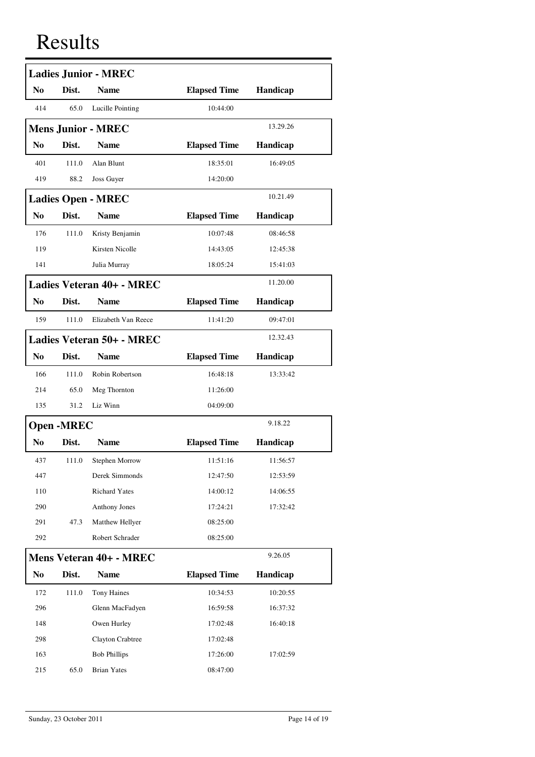| <b>Ladies Junior - MREC</b> |                  |                                  |                     |          |  |
|-----------------------------|------------------|----------------------------------|---------------------|----------|--|
| N <sub>0</sub>              | Dist.            | <b>Name</b>                      | <b>Elapsed Time</b> | Handicap |  |
| 414                         | 65.0             | Lucille Pointing                 | 10:44:00            |          |  |
| <b>Mens Junior - MREC</b>   |                  |                                  |                     | 13.29.26 |  |
| N <sub>0</sub>              | Dist.            | <b>Name</b>                      | <b>Elapsed Time</b> | Handicap |  |
| 401                         | 111.0            | Alan Blunt                       | 18:35:01            | 16:49:05 |  |
| 419                         | 88.2             | Joss Guyer                       | 14:20:00            |          |  |
|                             |                  | <b>Ladies Open - MREC</b>        |                     | 10.21.49 |  |
| N <sub>0</sub>              | Dist.            | <b>Name</b>                      | <b>Elapsed Time</b> | Handicap |  |
| 176                         | 111.0            | Kristy Benjamin                  | 10:07:48            | 08:46:58 |  |
| 119                         |                  | Kirsten Nicolle                  | 14:43:05            | 12:45:38 |  |
| 141                         |                  | Julia Murray                     | 18:05:24            | 15:41:03 |  |
|                             |                  | Ladies Veteran 40+ - MREC        |                     | 11.20.00 |  |
| N <sub>0</sub>              | Dist.            | <b>Name</b>                      | <b>Elapsed Time</b> | Handicap |  |
| 159                         | 111.0            | Elizabeth Van Reece              | 11:41:20            | 09:47:01 |  |
|                             |                  | <b>Ladies Veteran 50+ - MREC</b> |                     | 12.32.43 |  |
| N <sub>0</sub>              | Dist.            | <b>Name</b>                      | <b>Elapsed Time</b> | Handicap |  |
| 166                         | 111.0            | Robin Robertson                  | 16:48:18            | 13:33:42 |  |
| 214                         | 65.0             | Meg Thornton                     | 11:26:00            |          |  |
| 135                         | 31.2             | Liz Winn                         | 04:09:00            |          |  |
|                             | <b>Open-MREC</b> |                                  |                     | 9.18.22  |  |
| N <sub>0</sub>              | Dist.            | <b>Name</b>                      | <b>Elapsed Time</b> | Handicap |  |
| 437                         |                  | 111.0 Stephen Morrow             | 11:51:16            | 11:56:57 |  |
| 447                         |                  | Derek Simmonds                   | 12:47:50            | 12:53:59 |  |
| 110                         |                  | <b>Richard Yates</b>             | 14:00:12            | 14:06:55 |  |
| 290                         |                  | Anthony Jones                    | 17:24:21            | 17:32:42 |  |
| 291                         | 47.3             | Matthew Hellyer                  | 08:25:00            |          |  |
| 292                         |                  | Robert Schrader                  | 08:25:00            |          |  |
|                             |                  | <b>Mens Veteran 40+ - MREC</b>   |                     | 9.26.05  |  |
| No                          | Dist.            | <b>Name</b>                      | <b>Elapsed Time</b> | Handicap |  |
| 172                         | 111.0            | Tony Haines                      | 10:34:53            | 10:20:55 |  |
| 296                         |                  | Glenn MacFadyen                  | 16:59:58            | 16:37:32 |  |
| 148                         |                  | Owen Hurley                      | 17:02:48            | 16:40:18 |  |
| 298                         |                  | Clayton Crabtree                 | 17:02:48            |          |  |
| 163                         |                  | <b>Bob Phillips</b>              | 17:26:00            | 17:02:59 |  |
| 215                         | 65.0             | <b>Brian Yates</b>               | 08:47:00            |          |  |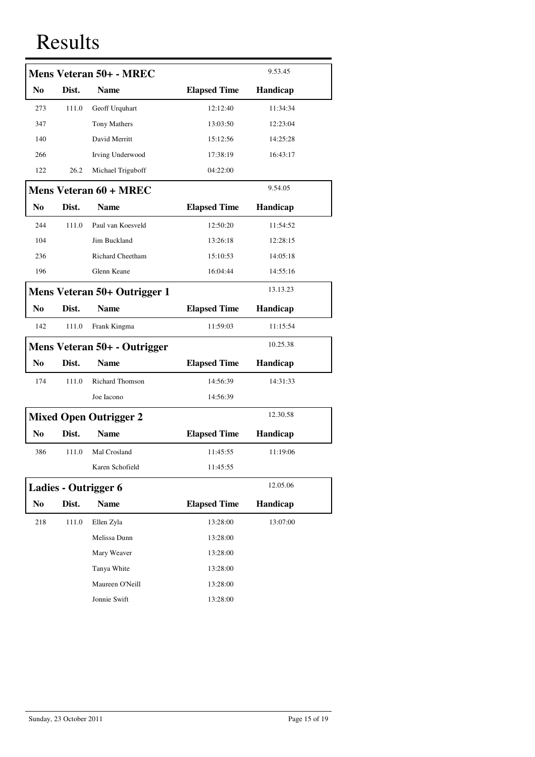|                |       | <b>Mens Veteran 50+ - MREC</b> |                     | 9.53.45  |
|----------------|-------|--------------------------------|---------------------|----------|
| N <sub>0</sub> | Dist. | <b>Name</b>                    | <b>Elapsed Time</b> | Handicap |
| 273            | 111.0 | Geoff Urquhart                 | 12:12:40            | 11:34:34 |
| 347            |       | Tony Mathers                   | 13:03:50            | 12:23:04 |
| 140            |       | David Merritt                  | 15:12:56            | 14:25:28 |
| 266            |       | Irving Underwood               | 17:38:19            | 16:43:17 |
| 122            | 26.2  | Michael Triguboff              | 04:22:00            |          |
|                |       | Mens Veteran 60 + MREC         |                     | 9.54.05  |
| N <sub>0</sub> | Dist. | <b>Name</b>                    | <b>Elapsed Time</b> | Handicap |
| 244            | 111.0 | Paul van Koesveld              | 12:50:20            | 11:54:52 |
| 104            |       | Jim Buckland                   | 13:26:18            | 12:28:15 |
| 236            |       | <b>Richard Cheetham</b>        | 15:10:53            | 14:05:18 |
| 196            |       | Glenn Keane                    | 16:04:44            | 14:55:16 |
|                |       | Mens Veteran 50+ Outrigger 1   |                     | 13.13.23 |
| N <sub>0</sub> | Dist. | <b>Name</b>                    | <b>Elapsed Time</b> | Handicap |
| 142            | 111.0 | Frank Kingma                   | 11:59:03            | 11:15:54 |
|                |       | Mens Veteran 50+ - Outrigger   |                     | 10.25.38 |
| N <sub>0</sub> | Dist. | <b>Name</b>                    | <b>Elapsed Time</b> | Handicap |
| 174            | 111.0 | <b>Richard Thomson</b>         | 14:56:39            | 14:31:33 |
|                |       | Joe Iacono                     | 14:56:39            |          |
|                |       | <b>Mixed Open Outrigger 2</b>  |                     | 12.30.58 |
| No             | Dist. | <b>Name</b>                    | <b>Elapsed Time</b> | Handicap |
| 386            | 111.0 | Mal Crosland                   | 11:45:55            | 11:19:06 |
|                |       | Karen Schofield                | 11:45:55            |          |
|                |       | <b>Ladies - Outrigger 6</b>    |                     | 12.05.06 |
| N <sub>0</sub> | Dist. | <b>Name</b>                    | <b>Elapsed Time</b> | Handicap |
| 218            | 111.0 | Ellen Zyla                     | 13:28:00            | 13:07:00 |
|                |       | Melissa Dunn                   | 13:28:00            |          |
|                |       | Mary Weaver                    | 13:28:00            |          |
|                |       | Tanya White                    | 13:28:00            |          |
|                |       | Maureen O'Neill                | 13:28:00            |          |
|                |       | Jonnie Swift                   | 13:28:00            |          |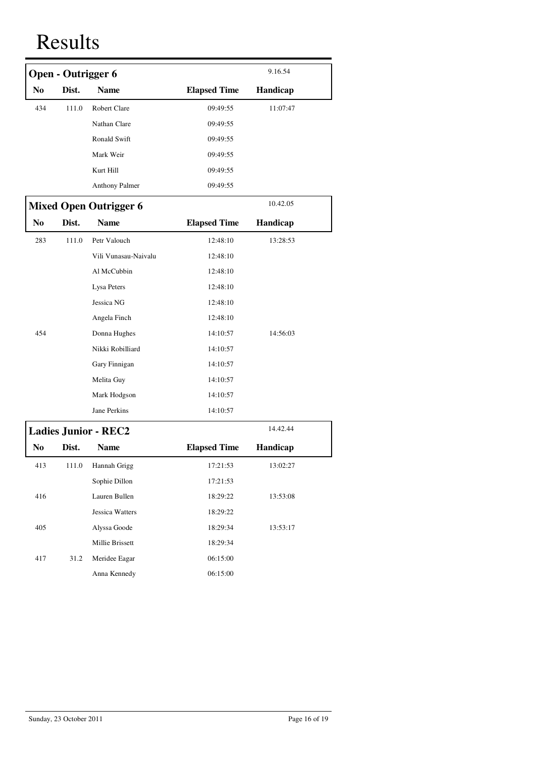|                | <b>Open - Outrigger 6</b> |                               |                     | 9.16.54  |
|----------------|---------------------------|-------------------------------|---------------------|----------|
| N <sub>0</sub> | Dist.                     | <b>Name</b>                   | <b>Elapsed Time</b> | Handicap |
| 434            | 111.0                     | Robert Clare                  | 09:49:55            | 11:07:47 |
|                |                           | Nathan Clare                  | 09:49:55            |          |
|                |                           | Ronald Swift                  | 09:49:55            |          |
|                |                           | Mark Weir                     | 09:49:55            |          |
|                |                           | Kurt Hill                     | 09:49:55            |          |
|                |                           | Anthony Palmer                | 09:49:55            |          |
|                |                           | <b>Mixed Open Outrigger 6</b> |                     | 10.42.05 |
| N <sub>0</sub> | Dist.                     | <b>Name</b>                   | <b>Elapsed Time</b> | Handicap |
| 283            | 111.0                     | Petr Valouch                  | 12:48:10            | 13:28:53 |
|                |                           | Vili Vunasau-Naivalu          | 12:48:10            |          |
|                |                           | Al McCubbin                   | 12:48:10            |          |
|                |                           | Lysa Peters                   | 12:48:10            |          |
|                |                           | Jessica NG                    | 12:48:10            |          |
|                |                           | Angela Finch                  | 12:48:10            |          |
| 454            |                           | Donna Hughes                  | 14:10:57            | 14:56:03 |
|                |                           | Nikki Robilliard              | 14:10:57            |          |
|                |                           | Gary Finnigan                 | 14:10:57            |          |
|                |                           | Melita Guy                    | 14:10:57            |          |
|                |                           | Mark Hodgson                  | 14:10:57            |          |
|                |                           | Jane Perkins                  | 14:10:57            |          |
|                |                           | <b>Ladies Junior - REC2</b>   |                     | 14.42.44 |
| N <sub>0</sub> | Dist.                     | <b>Name</b>                   | <b>Elapsed Time</b> | Handicap |
| 413            | 111.0                     | Hannah Grigg                  | 17:21:53            | 13:02:27 |
|                |                           | Sophie Dillon                 | 17:21:53            |          |
| 416            |                           | Lauren Bullen                 | 18:29:22            | 13:53:08 |
|                |                           | Jessica Watters               | 18:29:22            |          |
| 405            |                           | Alyssa Goode                  | 18:29:34            | 13:53:17 |
|                |                           | Millie Brissett               | 18:29:34            |          |
| 417            | 31.2                      | Meridee Eagar                 | 06:15:00            |          |
|                |                           | Anna Kennedy                  | 06:15:00            |          |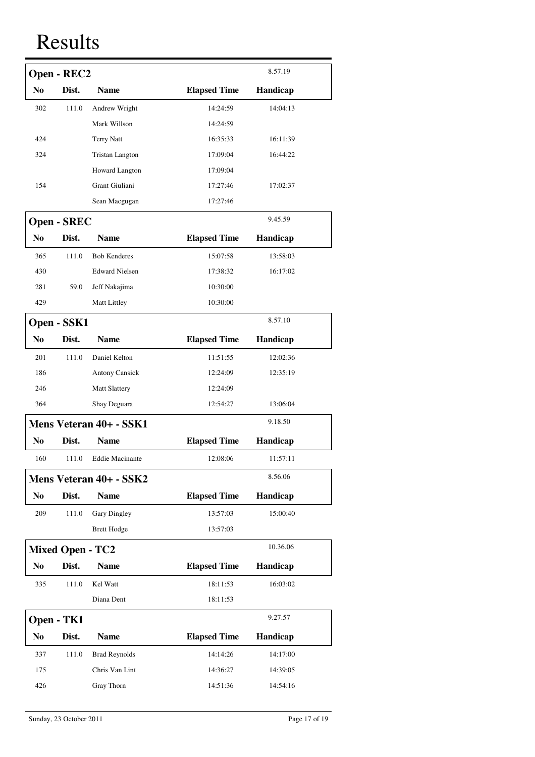| 8.57.19<br>Open - REC2 |                         |                         |                     |          |  |  |
|------------------------|-------------------------|-------------------------|---------------------|----------|--|--|
| N <sub>0</sub>         | Dist.                   | <b>Name</b>             | <b>Elapsed Time</b> | Handicap |  |  |
| 302                    | 111.0                   | Andrew Wright           | 14:24:59            | 14:04:13 |  |  |
|                        |                         | Mark Willson            | 14:24:59            |          |  |  |
| 424                    |                         | Terry Natt              | 16:35:33            | 16:11:39 |  |  |
| 324                    |                         | <b>Tristan Langton</b>  | 17:09:04            | 16:44:22 |  |  |
|                        |                         | Howard Langton          | 17:09:04            |          |  |  |
| 154                    |                         | Grant Giuliani          | 17:27:46            | 17:02:37 |  |  |
|                        |                         | Sean Macgugan           | 17:27:46            |          |  |  |
|                        | <b>Open - SREC</b>      |                         |                     | 9.45.59  |  |  |
| N <sub>0</sub>         | Dist.                   | <b>Name</b>             | <b>Elapsed Time</b> | Handicap |  |  |
| 365                    | 111.0                   | <b>Bob Kenderes</b>     | 15:07:58            | 13:58:03 |  |  |
| 430                    |                         | <b>Edward Nielsen</b>   | 17:38:32            | 16:17:02 |  |  |
| 281                    | 59.0                    | Jeff Nakajima           | 10:30:00            |          |  |  |
| 429                    |                         | <b>Matt Littley</b>     | 10:30:00            |          |  |  |
|                        | Open - SSK1             |                         |                     | 8.57.10  |  |  |
| N <sub>0</sub>         | Dist.                   | <b>Name</b>             | <b>Elapsed Time</b> | Handicap |  |  |
| 201                    | 111.0                   | Daniel Kelton           | 11:51:55            | 12:02:36 |  |  |
| 186                    |                         | <b>Antony Cansick</b>   | 12:24:09            | 12:35:19 |  |  |
| 246                    |                         | <b>Matt Slattery</b>    | 12:24:09            |          |  |  |
| 364                    |                         | Shay Deguara            | 12:54:27            | 13:06:04 |  |  |
|                        |                         | Mens Veteran 40+ - SSK1 |                     | 9.18.50  |  |  |
| N <sub>0</sub>         | Dist.                   | <b>Name</b>             | <b>Elapsed Time</b> | Handicap |  |  |
| 160                    |                         | 111.0 Eddie Macinante   | 12:08:06            | 11:57:11 |  |  |
|                        |                         | Mens Veteran 40+ - SSK2 |                     | 8.56.06  |  |  |
| No                     | Dist.                   | <b>Name</b>             | <b>Elapsed Time</b> | Handicap |  |  |
| 209                    | 111.0                   | <b>Gary Dingley</b>     | 13:57:03            | 15:00:40 |  |  |
|                        |                         | <b>Brett Hodge</b>      | 13:57:03            |          |  |  |
|                        | <b>Mixed Open - TC2</b> |                         |                     | 10.36.06 |  |  |
| N <sub>0</sub>         | Dist.                   | <b>Name</b>             | <b>Elapsed Time</b> | Handicap |  |  |
| 335                    | 111.0                   | Kel Watt                | 18:11:53            | 16:03:02 |  |  |
|                        |                         | Diana Dent              | 18:11:53            |          |  |  |
|                        | Open - TK1              |                         |                     | 9.27.57  |  |  |
| N <sub>0</sub>         | Dist.                   | <b>Name</b>             | <b>Elapsed Time</b> | Handicap |  |  |
| 337                    | 111.0                   | <b>Brad Reynolds</b>    | 14:14:26            | 14:17:00 |  |  |
| 175                    |                         | Chris Van Lint          | 14:36:27            | 14:39:05 |  |  |
| 426                    |                         | Gray Thorn              | 14:51:36            | 14:54:16 |  |  |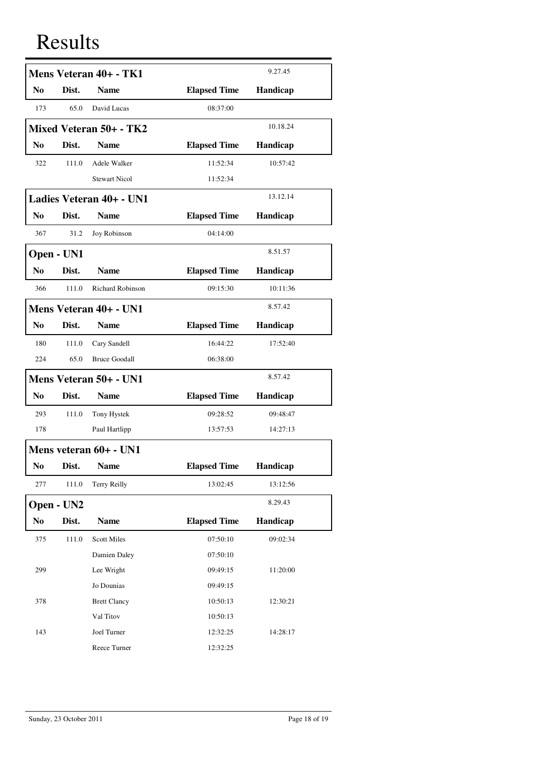|                |            | Mens Veteran 40+ - TK1   |                     | 9.27.45         |
|----------------|------------|--------------------------|---------------------|-----------------|
| N <sub>0</sub> | Dist.      | <b>Name</b>              | <b>Elapsed Time</b> | Handicap        |
| 173            | 65.0       | David Lucas              | 08:37:00            |                 |
|                |            | Mixed Veteran 50+ - TK2  |                     | 10.18.24        |
| N <sub>0</sub> | Dist.      | <b>Name</b>              | <b>Elapsed Time</b> | Handicap        |
| 322            | 111.0      | Adele Walker             | 11:52:34            | 10:57:42        |
|                |            | <b>Stewart Nicol</b>     | 11:52:34            |                 |
|                |            | Ladies Veteran 40+ - UN1 |                     | 13.12.14        |
| N <sub>0</sub> | Dist.      | <b>Name</b>              | <b>Elapsed Time</b> | <b>Handicap</b> |
| 367            | 31.2       | Joy Robinson             | 04:14:00            |                 |
|                | Open - UN1 |                          |                     | 8.51.57         |
| N <sub>0</sub> | Dist.      | <b>Name</b>              | <b>Elapsed Time</b> | Handicap        |
| 366            | 111.0      | <b>Richard Robinson</b>  | 09:15:30            | 10:11:36        |
|                |            | Mens Veteran 40+ - UN1   |                     | 8.57.42         |
| N <sub>0</sub> | Dist.      | <b>Name</b>              | <b>Elapsed Time</b> | Handicap        |
| 180            | 111.0      | Cary Sandell             | 16:44:22            | 17:52:40        |
| 224            | 65.0       | <b>Bruce Goodall</b>     | 06:38:00            |                 |
|                |            | Mens Veteran 50+ - UN1   |                     | 8.57.42         |
| N <sub>0</sub> | Dist.      | <b>Name</b>              | <b>Elapsed Time</b> | Handicap        |
| 293            | 111.0      | Tony Hystek              | 09:28:52            | 09:48:47        |
| 178            |            | Paul Hartlipp            | 13:57:53            | 14:27:13        |
|                |            | Mens veteran 60+ - UN1   |                     |                 |
| No             | Dist.      | <b>Name</b>              | <b>Elapsed Time</b> | Handicap        |
| 277            | 111.0      | Terry Reilly             | 13:02:45            | 13:12:56        |
|                | Open - UN2 |                          |                     | 8.29.43         |
| No             | Dist.      | <b>Name</b>              | <b>Elapsed Time</b> | Handicap        |
| 375            | 111.0      | <b>Scott Miles</b>       | 07:50:10            | 09:02:34        |
|                |            | Damien Daley             | 07:50:10            |                 |
| 299            |            | Lee Wright               | 09:49:15            | 11:20:00        |
|                |            | Jo Dounias               | 09:49:15            |                 |
| 378            |            | <b>Brett Clancy</b>      | 10:50:13            | 12:30:21        |
|                |            | Val Titov                | 10:50:13            |                 |
| 143            |            | Joel Turner              | 12:32:25            | 14:28:17        |
|                |            | Reece Turner             | 12:32:25            |                 |